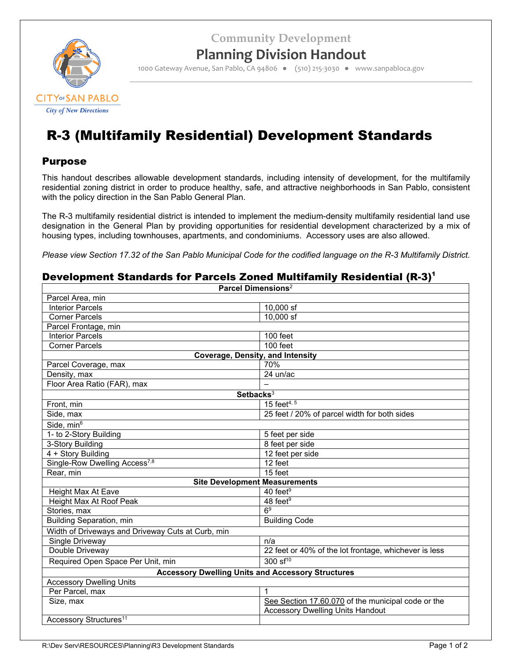**Community Development**



## **Planning Division Handout**

1000 Gateway Avenue, San Pablo, CA 94806 ● (510) 215‐3030 ● www.sanpabloca.gov

# R-3 (Multifamily Residential) Development Standards

#### Purpose

This handout describes allowable development standards, including intensity of development, for the multifamily residential zoning district in order to produce healthy, safe, and attractive neighborhoods in San Pablo, consistent with the policy direction in the San Pablo General Plan.

The R-3 multifamily residential district is intended to implement the medium-density multifamily residential land use designation in the General Plan by providing opportunities for residential development characterized by a mix of housing types, including townhouses, apartments, and condominiums. Accessory uses are also allowed.

*Please view Section 17.32 of the San Pablo Municipal Code for the codified language on the R-3 Multifamily District.*

#### Development Standards for Parcels Zoned Multifamily Residential  $(R-3)^1$

| Parcel Dimensions <sup>2</sup>                           |                                                       |  |  |  |
|----------------------------------------------------------|-------------------------------------------------------|--|--|--|
| Parcel Area, min                                         |                                                       |  |  |  |
| <b>Interior Parcels</b>                                  | 10,000 sf                                             |  |  |  |
| <b>Corner Parcels</b>                                    | $10.000$ sf                                           |  |  |  |
| Parcel Frontage, min                                     |                                                       |  |  |  |
| <b>Interior Parcels</b>                                  | 100 feet                                              |  |  |  |
| <b>Corner Parcels</b>                                    | 100 feet                                              |  |  |  |
| <b>Coverage, Density, and Intensity</b>                  |                                                       |  |  |  |
| Parcel Coverage, max                                     | 70%                                                   |  |  |  |
| Density, max                                             | 24 un/ac                                              |  |  |  |
| Floor Area Ratio (FAR), max                              |                                                       |  |  |  |
| Setbacks <sup>3</sup>                                    |                                                       |  |  |  |
| Front, min                                               | 15 feet <sup>4, 5</sup>                               |  |  |  |
| Side, max                                                | 25 feet / 20% of parcel width for both sides          |  |  |  |
| Side, min <sup>6</sup>                                   |                                                       |  |  |  |
| 1- to 2-Story Building                                   | 5 feet per side                                       |  |  |  |
| 3-Story Building                                         | 8 feet per side                                       |  |  |  |
| 4 + Story Building                                       | 12 feet per side                                      |  |  |  |
| Single-Row Dwelling Access <sup>7,8</sup>                | 12 feet                                               |  |  |  |
| Rear, min                                                | 15 feet                                               |  |  |  |
| <b>Site Development Measurements</b>                     |                                                       |  |  |  |
| Height Max At Eave                                       | 40 feet $9$                                           |  |  |  |
| Height Max At Roof Peak                                  | 48 feet <sup>9</sup>                                  |  |  |  |
| Stories, max                                             | 6 <sup>9</sup>                                        |  |  |  |
| <b>Building Separation, min</b>                          | <b>Building Code</b>                                  |  |  |  |
| Width of Driveways and Driveway Cuts at Curb, min        |                                                       |  |  |  |
| Single Driveway                                          | n/a                                                   |  |  |  |
| Double Driveway                                          | 22 feet or 40% of the lot frontage, whichever is less |  |  |  |
| Required Open Space Per Unit, min                        | $300 \text{ sf}^{10}$                                 |  |  |  |
| <b>Accessory Dwelling Units and Accessory Structures</b> |                                                       |  |  |  |
| <b>Accessory Dwelling Units</b>                          |                                                       |  |  |  |
| Per Parcel, max                                          | 1                                                     |  |  |  |
| Size, max                                                | See Section 17.60.070 of the municipal code or the    |  |  |  |
|                                                          | <b>Accessory Dwelling Units Handout</b>               |  |  |  |
| Accessory Structures <sup>11</sup>                       |                                                       |  |  |  |